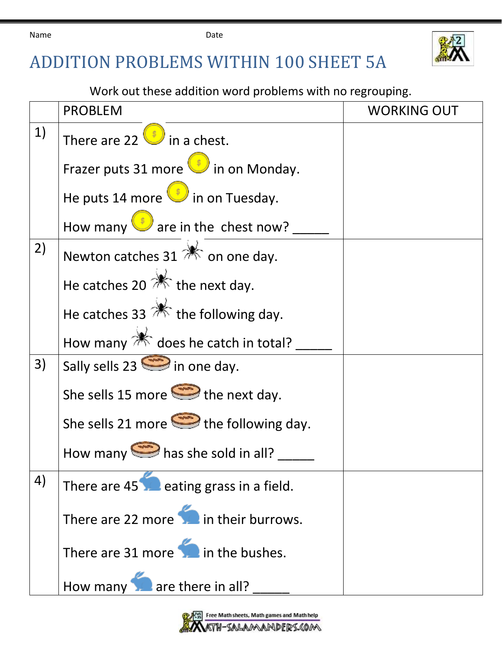Name **Date Date** 



## ADDITION PROBLEMS WITHIN 100 SHEET 5A

Work out these addition word problems with no regrouping.

|    | <b>PROBLEM</b>                                         | <b>WORKING OUT</b> |
|----|--------------------------------------------------------|--------------------|
| 1) | There are 22 $\bigcirc$ in a chest.                    |                    |
|    | Frazer puts 31 more in on Monday.                      |                    |
|    | He puts 14 more $\bigcup$ in on Tuesday.               |                    |
|    | How many $\bigcirc$ are in the chest now?              |                    |
| 2) | Newton catches 31 <b>X</b> on one day.                 |                    |
|    | He catches 20 $*$ the next day.                        |                    |
|    | He catches 33 $*$ the following day.                   |                    |
|    | How many $\mathbb{*}$ does he catch in total?          |                    |
| 3) | Sally sells $23$ $\implies$ in one day.                |                    |
|    | She sells 15 more $\implies$ the next day.             |                    |
|    | She sells 21 more $\implies$ the following day.        |                    |
|    | How many $\implies$ has she sold in all?               |                    |
| 4) | There are $45$ $\blacksquare$ eating grass in a field. |                    |
|    | There are 22 more in their burrows.                    |                    |
|    | There are 31 more in the bushes.                       |                    |
|    | How many are there in all?                             |                    |